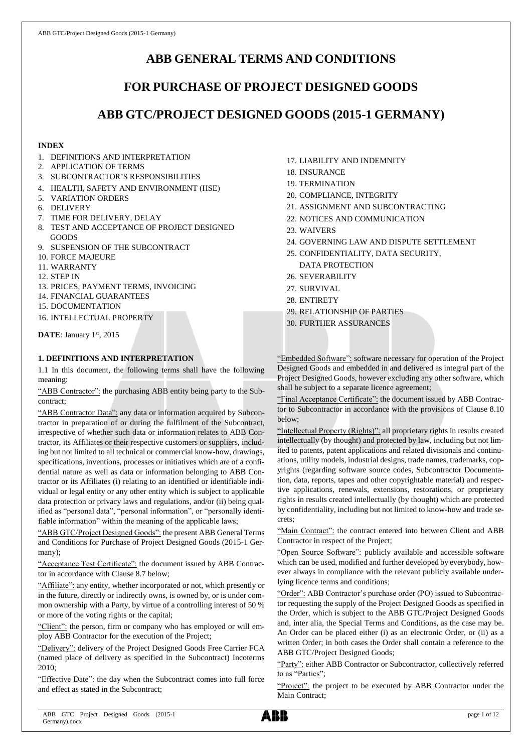# **ABB GENERAL TERMS AND CONDITIONS**

# **FOR PURCHASE OF PROJECT DESIGNED GOODS**

# **ABB GTC/PROJECT DESIGNED GOODS (2015-1 GERMANY)**

# **INDEX**

- 1. DEFINITIONS AND INTERPRETATION
- 2. APPLICATION OF TERMS
- 3. SUBCONTRACTOR'S RESPONSIBILITIES
- 4. HEALTH, SAFETY AND ENVIRONMENT (HSE)
- 5. VARIATION ORDERS
- 6. DELIVERY
- 7. TIME FOR DELIVERY, DELAY
- 8. TEST AND ACCEPTANCE OF PROJECT DESIGNED GOODS
- 9. SUSPENSION OF THE SUBCONTRACT
- 10. FORCE MAJEURE
- 11. WARRANTY
- 12. STEP IN
- 13. PRICES, PAYMENT TERMS, INVOICING
- 14. FINANCIAL GUARANTEES
- 15. DOCUMENTATION
- 16. INTELLECTUAL PROPERTY

**DATE**: January 1st, 2015

# **1. DEFINITIONS AND INTERPRETATION**

1.1 In this document, the following terms shall have the following meaning:

"ABB Contractor": the purchasing ABB entity being party to the Subcontract;

"ABB Contractor Data": any data or information acquired by Subcontractor in preparation of or during the fulfilment of the Subcontract, irrespective of whether such data or information relates to ABB Contractor, its Affiliates or their respective customers or suppliers, including but not limited to all technical or commercial know-how, drawings, specifications, inventions, processes or initiatives which are of a confidential nature as well as data or information belonging to ABB Contractor or its Affiliates (i) relating to an identified or identifiable individual or legal entity or any other entity which is subject to applicable data protection or privacy laws and regulations, and/or (ii) being qualified as "personal data", "personal information", or "personally identifiable information" within the meaning of the applicable laws;

"ABB GTC/Project Designed Goods": the present ABB General Terms and Conditions for Purchase of Project Designed Goods (2015-1 Germany);

"Acceptance Test Certificate": the document issued by ABB Contractor in accordance with Clause 8.7 below;

"Affiliate": any entity, whether incorporated or not, which presently or in the future, directly or indirectly owns, is owned by, or is under common ownership with a Party, by virtue of a controlling interest of 50 % or more of the voting rights or the capital;

"Client": the person, firm or company who has employed or will employ ABB Contractor for the execution of the Project;

"Delivery": delivery of the Project Designed Goods Free Carrier FCA (named place of delivery as specified in the Subcontract) Incoterms 2010;

"Effective Date": the day when the Subcontract comes into full force and effect as stated in the Subcontract;

- 17. LIABILITY AND INDEMNITY
- 18. INSURANCE
- 19. TERMINATION
- 20. COMPLIANCE, INTEGRITY
- 21. ASSIGNMENT AND SUBCONTRACTING
- 22. NOTICES AND COMMUNICATION
- 23. WAIVERS
- 24. GOVERNING LAW AND DISPUTE SETTLEMENT
- 25. CONFIDENTIALITY, DATA SECURITY,

DATA PROTECTION

- 26. SEVERABILITY 27. SURVIVAL
- 28. ENTIRETY
- 29. RELATIONSHIP OF PARTIES
- 30. FURTHER ASSURANCES

"Embedded Software": software necessary for operation of the Project Designed Goods and embedded in and delivered as integral part of the Project Designed Goods, however excluding any other software, which shall be subject to a separate licence agreement;

"Final Acceptance Certificate": the document issued by ABB Contractor to Subcontractor in accordance with the provisions of Clause 8.10 below;

"Intellectual Property (Rights)": all proprietary rights in results created intellectually (by thought) and protected by law, including but not limited to patents, patent applications and related divisionals and continuations, utility models, industrial designs, trade names, trademarks, copyrights (regarding software source codes, Subcontractor Documentation, data, reports, tapes and other copyrightable material) and respective applications, renewals, extensions, restorations, or proprietary rights in results created intellectually (by thought) which are protected by confidentiality, including but not limited to know-how and trade secrets;

"Main Contract": the contract entered into between Client and ABB Contractor in respect of the Project;

"Open Source Software": publicly available and accessible software which can be used, modified and further developed by everybody, however always in compliance with the relevant publicly available underlying licence terms and conditions;

"Order": ABB Contractor's purchase order (PO) issued to Subcontractor requesting the supply of the Project Designed Goods as specified in the Order, which is subject to the ABB GTC/Project Designed Goods and, inter alia, the Special Terms and Conditions, as the case may be. An Order can be placed either (i) as an electronic Order, or (ii) as a written Order; in both cases the Order shall contain a reference to the ABB GTC/Project Designed Goods;

"Party": either ABB Contractor or Subcontractor, collectively referred to as "Parties";

"Project": the project to be executed by ABB Contractor under the Main Contract;

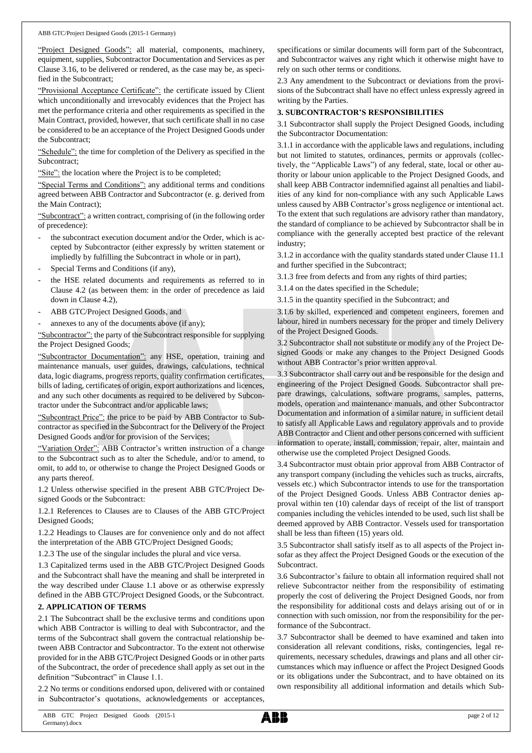"Project Designed Goods": all material, components, machinery, equipment, supplies, Subcontractor Documentation and Services as per Clause 3.16, to be delivered or rendered, as the case may be, as specified in the Subcontract;

"Provisional Acceptance Certificate": the certificate issued by Client which unconditionally and irrevocably evidences that the Project has met the performance criteria and other requirements as specified in the Main Contract, provided, however, that such certificate shall in no case be considered to be an acceptance of the Project Designed Goods under the Subcontract;

"Schedule": the time for completion of the Delivery as specified in the Subcontract;

"Site": the location where the Project is to be completed;

"Special Terms and Conditions": any additional terms and conditions agreed between ABB Contractor and Subcontractor (e. g. derived from the Main Contract);

"Subcontract": a written contract, comprising of (in the following order of precedence):

- the subcontract execution document and/or the Order, which is accepted by Subcontractor (either expressly by written statement or impliedly by fulfilling the Subcontract in whole or in part),
- Special Terms and Conditions (if any),
- the HSE related documents and requirements as referred to in Clause 4.2 (as between them: in the order of precedence as laid down in Clause 4.2),
- ABB GTC/Project Designed Goods, and
- annexes to any of the documents above (if any);

"Subcontractor": the party of the Subcontract responsible for supplying the Project Designed Goods;

"Subcontractor Documentation": any HSE, operation, training and maintenance manuals, user guides, drawings, calculations, technical data, logic diagrams, progress reports, quality confirmation certificates, bills of lading, certificates of origin, export authorizations and licences, and any such other documents as required to be delivered by Subcontractor under the Subcontract and/or applicable laws;

"Subcontract Price": the price to be paid by ABB Contractor to Subcontractor as specified in the Subcontract for the Delivery of the Project Designed Goods and/or for provision of the Services;

"Variation Order": ABB Contractor's written instruction of a change to the Subcontract such as to alter the Schedule, and/or to amend, to omit, to add to, or otherwise to change the Project Designed Goods or any parts thereof.

1.2 Unless otherwise specified in the present ABB GTC/Project Designed Goods or the Subcontract:

1.2.1 References to Clauses are to Clauses of the ABB GTC/Project Designed Goods;

1.2.2 Headings to Clauses are for convenience only and do not affect the interpretation of the ABB GTC/Project Designed Goods;

1.2.3 The use of the singular includes the plural and vice versa.

1.3 Capitalized terms used in the ABB GTC/Project Designed Goods and the Subcontract shall have the meaning and shall be interpreted in the way described under Clause 1.1 above or as otherwise expressly defined in the ABB GTC/Project Designed Goods, or the Subcontract.

#### **2. APPLICATION OF TERMS**

2.1 The Subcontract shall be the exclusive terms and conditions upon which ABB Contractor is willing to deal with Subcontractor, and the terms of the Subcontract shall govern the contractual relationship between ABB Contractor and Subcontractor. To the extent not otherwise provided for in the ABB GTC/Project Designed Goods or in other parts of the Subcontract, the order of precedence shall apply as set out in the definition "Subcontract" in Clause 1.1.

2.2 No terms or conditions endorsed upon, delivered with or contained in Subcontractor's quotations, acknowledgements or acceptances,

specifications or similar documents will form part of the Subcontract, and Subcontractor waives any right which it otherwise might have to rely on such other terms or conditions.

2.3 Any amendment to the Subcontract or deviations from the provisions of the Subcontract shall have no effect unless expressly agreed in writing by the Parties.

#### **3. SUBCONTRACTOR'S RESPONSIBILITIES**

3.1 Subcontractor shall supply the Project Designed Goods, including the Subcontractor Documentation:

3.1.1 in accordance with the applicable laws and regulations, including but not limited to statutes, ordinances, permits or approvals (collectively, the "Applicable Laws") of any federal, state, local or other authority or labour union applicable to the Project Designed Goods, and shall keep ABB Contractor indemnified against all penalties and liabilities of any kind for non-compliance with any such Applicable Laws unless caused by ABB Contractor's gross negligence or intentional act. To the extent that such regulations are advisory rather than mandatory, the standard of compliance to be achieved by Subcontractor shall be in compliance with the generally accepted best practice of the relevant industry;

3.1.2 in accordance with the quality standards stated under Clause 11.1 and further specified in the Subcontract;

3.1.3 free from defects and from any rights of third parties;

3.1.4 on the dates specified in the Schedule;

3.1.5 in the quantity specified in the Subcontract; and

3.1.6 by skilled, experienced and competent engineers, foremen and labour, hired in numbers necessary for the proper and timely Delivery of the Project Designed Goods.

3.2 Subcontractor shall not substitute or modify any of the Project Designed Goods or make any changes to the Project Designed Goods without ABB Contractor's prior written approval.

3.3 Subcontractor shall carry out and be responsible for the design and engineering of the Project Designed Goods. Subcontractor shall prepare drawings, calculations, software programs, samples, patterns, models, operation and maintenance manuals, and other Subcontractor Documentation and information of a similar nature, in sufficient detail to satisfy all Applicable Laws and regulatory approvals and to provide ABB Contractor and Client and other persons concerned with sufficient information to operate, install, commission, repair, alter, maintain and otherwise use the completed Project Designed Goods.

3.4 Subcontractor must obtain prior approval from ABB Contractor of any transport company (including the vehicles such as trucks, aircrafts, vessels etc.) which Subcontractor intends to use for the transportation of the Project Designed Goods. Unless ABB Contractor denies approval within ten (10) calendar days of receipt of the list of transport companies including the vehicles intended to be used, such list shall be deemed approved by ABB Contractor. Vessels used for transportation shall be less than fifteen (15) years old.

3.5 Subcontractor shall satisfy itself as to all aspects of the Project insofar as they affect the Project Designed Goods or the execution of the **Subcontract.** 

3.6 Subcontractor's failure to obtain all information required shall not relieve Subcontractor neither from the responsibility of estimating properly the cost of delivering the Project Designed Goods, nor from the responsibility for additional costs and delays arising out of or in connection with such omission, nor from the responsibility for the performance of the Subcontract.

3.7 Subcontractor shall be deemed to have examined and taken into consideration all relevant conditions, risks, contingencies, legal requirements, necessary schedules, drawings and plans and all other circumstances which may influence or affect the Project Designed Goods or its obligations under the Subcontract, and to have obtained on its own responsibility all additional information and details which Sub-

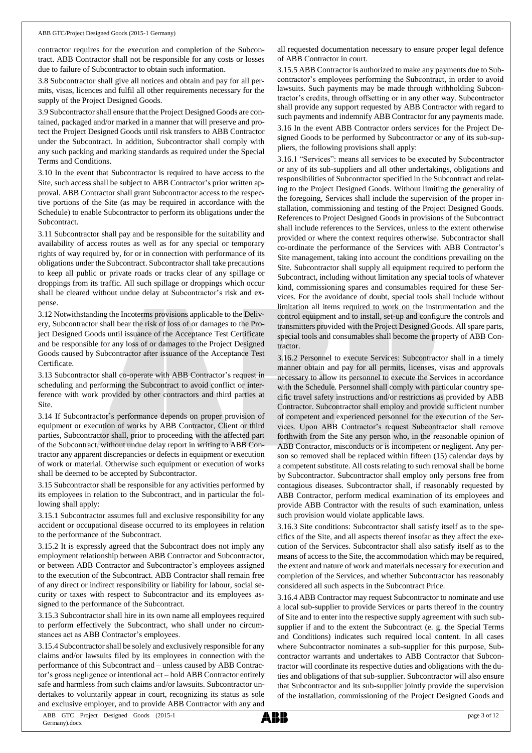#### ABB GTC/Project Designed Goods (2015-1 Germany)

contractor requires for the execution and completion of the Subcontract. ABB Contractor shall not be responsible for any costs or losses due to failure of Subcontractor to obtain such information.

3.8 Subcontractor shall give all notices and obtain and pay for all permits, visas, licences and fulfil all other requirements necessary for the supply of the Project Designed Goods.

3.9 Subcontractorshall ensure that the Project Designed Goods are contained, packaged and/or marked in a manner that will preserve and protect the Project Designed Goods until risk transfers to ABB Contractor under the Subcontract. In addition, Subcontractor shall comply with any such packing and marking standards as required under the Special Terms and Conditions.

3.10 In the event that Subcontractor is required to have access to the Site, such access shall be subject to ABB Contractor's prior written approval. ABB Contractor shall grant Subcontractor access to the respective portions of the Site (as may be required in accordance with the Schedule) to enable Subcontractor to perform its obligations under the Subcontract.

3.11 Subcontractor shall pay and be responsible for the suitability and availability of access routes as well as for any special or temporary rights of way required by, for or in connection with performance of its obligations under the Subcontract. Subcontractor shall take precautions to keep all public or private roads or tracks clear of any spillage or droppings from its traffic. All such spillage or droppings which occur shall be cleared without undue delay at Subcontractor's risk and expense.

3.12 Notwithstanding the Incoterms provisions applicable to the Delivery, Subcontractor shall bear the risk of loss of or damages to the Project Designed Goods until issuance of the Acceptance Test Certificate and be responsible for any loss of or damages to the Project Designed Goods caused by Subcontractor after issuance of the Acceptance Test Certificate.

3.13 Subcontractor shall co-operate with ABB Contractor's request in scheduling and performing the Subcontract to avoid conflict or interference with work provided by other contractors and third parties at Site.

3.14 If Subcontractor's performance depends on proper provision of equipment or execution of works by ABB Contractor, Client or third parties, Subcontractor shall, prior to proceeding with the affected part of the Subcontract, without undue delay report in writing to ABB Contractor any apparent discrepancies or defects in equipment or execution of work or material. Otherwise such equipment or execution of works shall be deemed to be accepted by Subcontractor.

3.15 Subcontractor shall be responsible for any activities performed by its employees in relation to the Subcontract, and in particular the following shall apply:

3.15.1 Subcontractor assumes full and exclusive responsibility for any accident or occupational disease occurred to its employees in relation to the performance of the Subcontract.

3.15.2 It is expressly agreed that the Subcontract does not imply any employment relationship between ABB Contractor and Subcontractor, or between ABB Contractor and Subcontractor's employees assigned to the execution of the Subcontract. ABB Contractor shall remain free of any direct or indirect responsibility or liability for labour, social security or taxes with respect to Subcontractor and its employees assigned to the performance of the Subcontract.

3.15.3 Subcontractor shall hire in its own name all employees required to perform effectively the Subcontract, who shall under no circumstances act as ABB Contractor's employees.

3.15.4 Subcontractor shall be solely and exclusively responsible for any claims and/or lawsuits filed by its employees in connection with the performance of this Subcontract and – unless caused by ABB Contractor's gross negligence or intentional act – hold ABB Contractor entirely safe and harmless from such claims and/or lawsuits. Subcontractor undertakes to voluntarily appear in court, recognizing its status as sole and exclusive employer, and to provide ABB Contractor with any and

all requested documentation necessary to ensure proper legal defence of ABB Contractor in court.

3.15.5 ABB Contractor is authorized to make any payments due to Subcontractor's employees performing the Subcontract, in order to avoid lawsuits. Such payments may be made through withholding Subcontractor's credits, through offsetting or in any other way. Subcontractor shall provide any support requested by ABB Contractor with regard to such payments and indemnify ABB Contractor for any payments made.

3.16 In the event ABB Contractor orders services for the Project Designed Goods to be performed by Subcontractor or any of its sub-suppliers, the following provisions shall apply:

3.16.1 "Services": means all services to be executed by Subcontractor or any of its sub-suppliers and all other undertakings, obligations and responsibilities of Subcontractor specified in the Subcontract and relating to the Project Designed Goods. Without limiting the generality of the foregoing, Services shall include the supervision of the proper installation, commissioning and testing of the Project Designed Goods. References to Project Designed Goods in provisions of the Subcontract shall include references to the Services, unless to the extent otherwise provided or where the context requires otherwise. Subcontractor shall co-ordinate the performance of the Services with ABB Contractor's Site management, taking into account the conditions prevailing on the Site. Subcontractor shall supply all equipment required to perform the Subcontract, including without limitation any special tools of whatever kind, commissioning spares and consumables required for these Services. For the avoidance of doubt, special tools shall include without limitation all items required to work on the instrumentation and the control equipment and to install, set-up and configure the controls and transmitters provided with the Project Designed Goods. All spare parts, special tools and consumables shall become the property of ABB Contractor.

3.16.2 Personnel to execute Services: Subcontractor shall in a timely manner obtain and pay for all permits, licenses, visas and approvals necessary to allow its personnel to execute the Services in accordance with the Schedule. Personnel shall comply with particular country specific travel safety instructions and/or restrictions as provided by ABB Contractor. Subcontractor shall employ and provide sufficient number of competent and experienced personnel for the execution of the Services. Upon ABB Contractor's request Subcontractor shall remove forthwith from the Site any person who, in the reasonable opinion of ABB Contractor, misconducts or is incompetent or negligent. Any person so removed shall be replaced within fifteen (15) calendar days by a competent substitute. All costs relating to such removal shall be borne by Subcontractor. Subcontractor shall employ only persons free from contagious diseases. Subcontractor shall, if reasonably requested by ABB Contractor, perform medical examination of its employees and provide ABB Contractor with the results of such examination, unless such provision would violate applicable laws.

3.16.3 Site conditions: Subcontractor shall satisfy itself as to the specifics of the Site, and all aspects thereof insofar as they affect the execution of the Services. Subcontractor shall also satisfy itself as to the means of access to the Site, the accommodation which may be required, the extent and nature of work and materials necessary for execution and completion of the Services, and whether Subcontractor has reasonably considered all such aspects in the Subcontract Price.

3.16.4 ABB Contractor may request Subcontractor to nominate and use a local sub-supplier to provide Services or parts thereof in the country of Site and to enter into the respective supply agreement with such subsupplier if and to the extent the Subcontract (e. g. the Special Terms and Conditions) indicates such required local content. In all cases where Subcontractor nominates a sub-supplier for this purpose, Subcontractor warrants and undertakes to ABB Contractor that Subcontractor will coordinate its respective duties and obligations with the duties and obligations of that sub-supplier. Subcontractor will also ensure that Subcontractor and its sub-supplier jointly provide the supervision of the installation, commissioning of the Project Designed Goods and

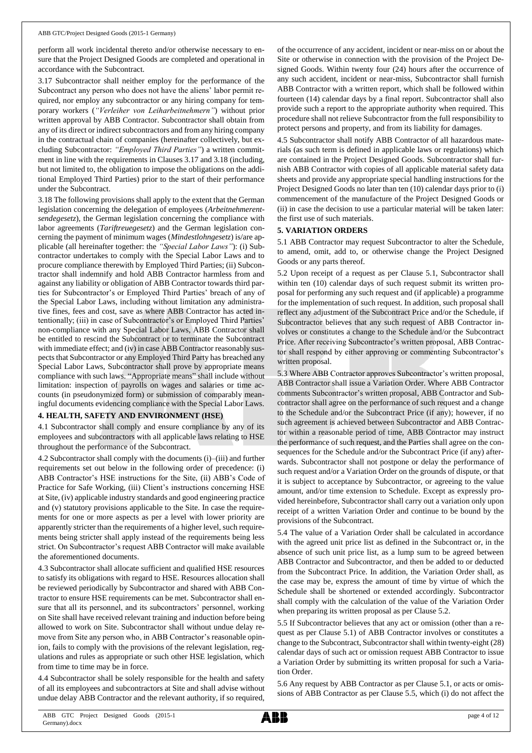perform all work incidental thereto and/or otherwise necessary to ensure that the Project Designed Goods are completed and operational in accordance with the Subcontract.

3.17 Subcontractor shall neither employ for the performance of the Subcontract any person who does not have the aliens' labor permit required, nor employ any subcontractor or any hiring company for temporary workers (*"Verleiher von Leiharbeitnehmern"*) without prior written approval by ABB Contractor. Subcontractor shall obtain from any of its direct or indirect subcontractors and from any hiring company in the contractual chain of companies (hereinafter collectively, but excluding Subcontractor: *"Employed Third Parties"*) a written commitment in line with the requirements in Clauses 3.17 and 3.18 (including, but not limited to, the obligation to impose the obligations on the additional Employed Third Parties) prior to the start of their performance under the Subcontract.

3.18 The following provisions shall apply to the extent that the German legislation concerning the delegation of employees (*Arbeitnehmerentsendegesetz*), the German legislation concerning the compliance with labor agreements (*Tariftreuegesetz*) and the German legislation concerning the payment of minimum wages (*Mindestlohngesetz*) is/are applicable (all hereinafter together: the *"Special Labor Laws"*): (i) Subcontractor undertakes to comply with the Special Labor Laws and to procure compliance therewith by Employed Third Parties; (ii) Subcontractor shall indemnify and hold ABB Contractor harmless from and against any liability or obligation of ABB Contractor towards third parties for Subcontractor's or Employed Third Parties' breach of any of the Special Labor Laws, including without limitation any administrative fines, fees and cost, save as where ABB Contractor has acted intentionally; (iii) in case of Subcontractor's or Employed Third Parties' non-compliance with any Special Labor Laws, ABB Contractor shall be entitled to rescind the Subcontract or to terminate the Subcontract with immediate effect; and (iv) in case ABB Contractor reasonably suspects that Subcontractor or any Employed Third Party has breached any Special Labor Laws, Subcontractor shall prove by appropriate means compliance with such laws. "Appropriate means" shall include without limitation: inspection of payrolls on wages and salaries or time accounts (in pseudonymized form) or submission of comparably meaningful documents evidencing compliance with the Special Labor Laws.

#### **4. HEALTH, SAFETY AND ENVIRONMENT (HSE)**

4.1 Subcontractor shall comply and ensure compliance by any of its employees and subcontractors with all applicable laws relating to HSE throughout the performance of the Subcontract.

4.2 Subcontractor shall comply with the documents (i)–(iii) and further requirements set out below in the following order of precedence: (i) ABB Contractor's HSE instructions for the Site, (ii) ABB's Code of Practice for Safe Working, (iii) Client's instructions concerning HSE at Site, (iv) applicable industry standards and good engineering practice and (v) statutory provisions applicable to the Site. In case the requirements for one or more aspects as per a level with lower priority are apparently stricter than the requirements of a higher level, such requirements being stricter shall apply instead of the requirements being less strict. On Subcontractor's request ABB Contractor will make available the aforementioned documents.

4.3 Subcontractor shall allocate sufficient and qualified HSE resources to satisfy its obligations with regard to HSE. Resources allocation shall be reviewed periodically by Subcontractor and shared with ABB Contractor to ensure HSE requirements can be met. Subcontractor shall ensure that all its personnel, and its subcontractors' personnel, working on Site shall have received relevant training and induction before being allowed to work on Site. Subcontractor shall without undue delay remove from Site any person who, in ABB Contractor's reasonable opinion, fails to comply with the provisions of the relevant legislation, regulations and rules as appropriate or such other HSE legislation, which from time to time may be in force.

4.4 Subcontractor shall be solely responsible for the health and safety of all its employees and subcontractors at Site and shall advise without undue delay ABB Contractor and the relevant authority, if so required,

of the occurrence of any accident, incident or near-miss on or about the Site or otherwise in connection with the provision of the Project Designed Goods. Within twenty four (24) hours after the occurrence of any such accident, incident or near-miss, Subcontractor shall furnish ABB Contractor with a written report, which shall be followed within fourteen (14) calendar days by a final report. Subcontractor shall also provide such a report to the appropriate authority when required. This procedure shall not relieve Subcontractor from the full responsibility to protect persons and property, and from its liability for damages.

4.5 Subcontractor shall notify ABB Contractor of all hazardous materials (as such term is defined in applicable laws or regulations) which are contained in the Project Designed Goods. Subcontractor shall furnish ABB Contractor with copies of all applicable material safety data sheets and provide any appropriate special handling instructions for the Project Designed Goods no later than ten (10) calendar days prior to (i) commencement of the manufacture of the Project Designed Goods or (ii) in case the decision to use a particular material will be taken later: the first use of such materials.

#### **5. VARIATION ORDERS**

5.1 ABB Contractor may request Subcontractor to alter the Schedule, to amend, omit, add to, or otherwise change the Project Designed Goods or any parts thereof.

5.2 Upon receipt of a request as per Clause 5.1, Subcontractor shall within ten (10) calendar days of such request submit its written proposal for performing any such request and (if applicable) a programme for the implementation of such request. In addition, such proposal shall reflect any adjustment of the Subcontract Price and/or the Schedule, if Subcontractor believes that any such request of ABB Contractor involves or constitutes a change to the Schedule and/or the Subcontract Price. After receiving Subcontractor's written proposal, ABB Contractor shall respond by either approving or commenting Subcontractor's written proposal.

5.3 Where ABB Contractor approves Subcontractor's written proposal, ABB Contractor shall issue a Variation Order. Where ABB Contractor comments Subcontractor's written proposal, ABB Contractor and Subcontractor shall agree on the performance of such request and a change to the Schedule and/or the Subcontract Price (if any); however, if no such agreement is achieved between Subcontractor and ABB Contractor within a reasonable period of time, ABB Contractor may instruct the performance of such request, and the Parties shall agree on the consequences for the Schedule and/or the Subcontract Price (if any) afterwards. Subcontractor shall not postpone or delay the performance of such request and/or a Variation Order on the grounds of dispute, or that it is subject to acceptance by Subcontractor, or agreeing to the value amount, and/or time extension to Schedule. Except as expressly provided hereinbefore, Subcontractor shall carry out a variation only upon receipt of a written Variation Order and continue to be bound by the provisions of the Subcontract.

5.4 The value of a Variation Order shall be calculated in accordance with the agreed unit price list as defined in the Subcontract or, in the absence of such unit price list, as a lump sum to be agreed between ABB Contractor and Subcontractor, and then be added to or deducted from the Subcontract Price. In addition, the Variation Order shall, as the case may be, express the amount of time by virtue of which the Schedule shall be shortened or extended accordingly. Subcontractor shall comply with the calculation of the value of the Variation Order when preparing its written proposal as per Clause 5.2.

5.5 If Subcontractor believes that any act or omission (other than a request as per Clause 5.1) of ABB Contractor involves or constitutes a change to the Subcontract, Subcontractor shall within twenty-eight (28) calendar days of such act or omission request ABB Contractor to issue a Variation Order by submitting its written proposal for such a Variation Order.

5.6 Any request by ABB Contractor as per Clause 5.1, or acts or omissions of ABB Contractor as per Clause 5.5, which (i) do not affect the

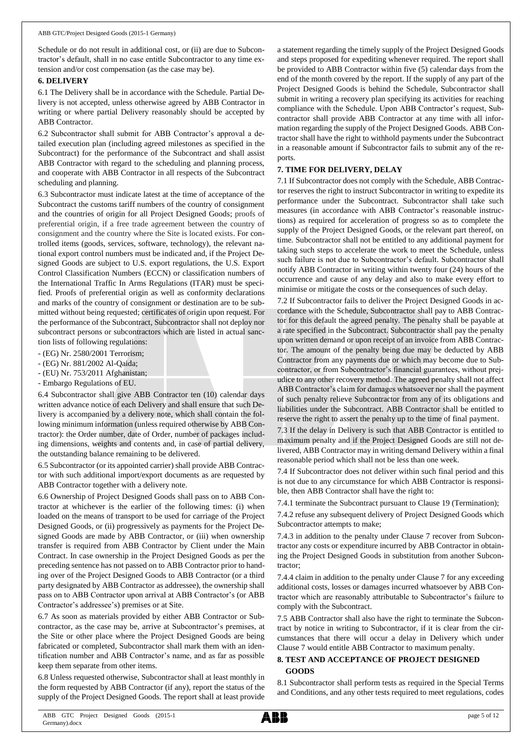Schedule or do not result in additional cost, or (ii) are due to Subcontractor's default, shall in no case entitle Subcontractor to any time extension and/or cost compensation (as the case may be).

#### **6. DELIVERY**

6.1 The Delivery shall be in accordance with the Schedule. Partial Delivery is not accepted, unless otherwise agreed by ABB Contractor in writing or where partial Delivery reasonably should be accepted by ABB Contractor.

6.2 Subcontractor shall submit for ABB Contractor's approval a detailed execution plan (including agreed milestones as specified in the Subcontract) for the performance of the Subcontract and shall assist ABB Contractor with regard to the scheduling and planning process, and cooperate with ABB Contractor in all respects of the Subcontract scheduling and planning.

6.3 Subcontractor must indicate latest at the time of acceptance of the Subcontract the customs tariff numbers of the country of consignment and the countries of origin for all Project Designed Goods; proofs of preferential origin, if a free trade agreement between the country of consignment and the country where the Site is located exists. For controlled items (goods, services, software, technology), the relevant national export control numbers must be indicated and, if the Project Designed Goods are subject to U.S. export regulations, the U.S. Export Control Classification Numbers (ECCN) or classification numbers of the International Traffic In Arms Regulations (ITAR) must be specified. Proofs of preferential origin as well as conformity declarations and marks of the country of consignment or destination are to be submitted without being requested; certificates of origin upon request. For the performance of the Subcontract, Subcontractor shall not deploy nor subcontract persons or subcontractors which are listed in actual sanction lists of following regulations:

- (EG) Nr. 2580/2001 Terrorism;
- (EG) Nr. 881/2002 Al-Qaida;
- (EU) Nr. 753/2011 Afghanistan;
- Embargo Regulations of EU.

6.4 Subcontractor shall give ABB Contractor ten (10) calendar days written advance notice of each Delivery and shall ensure that such Delivery is accompanied by a delivery note, which shall contain the following minimum information (unless required otherwise by ABB Contractor): the Order number, date of Order, number of packages including dimensions, weights and contents and, in case of partial delivery, the outstanding balance remaining to be delivered.

6.5 Subcontractor (or its appointed carrier) shall provide ABB Contractor with such additional import/export documents as are requested by ABB Contractor together with a delivery note.

6.6 Ownership of Project Designed Goods shall pass on to ABB Contractor at whichever is the earlier of the following times: (i) when loaded on the means of transport to be used for carriage of the Project Designed Goods, or (ii) progressively as payments for the Project Designed Goods are made by ABB Contractor, or (iii) when ownership transfer is required from ABB Contractor by Client under the Main Contract. In case ownership in the Project Designed Goods as per the preceding sentence has not passed on to ABB Contractor prior to handing over of the Project Designed Goods to ABB Contractor (or a third party designated by ABB Contractor as addressee), the ownership shall pass on to ABB Contractor upon arrival at ABB Contractor's (or ABB Contractor's addressee's) premises or at Site.

6.7 As soon as materials provided by either ABB Contractor or Subcontractor, as the case may be, arrive at Subcontractor's premises, at the Site or other place where the Project Designed Goods are being fabricated or completed, Subcontractor shall mark them with an identification number and ABB Contractor's name, and as far as possible keep them separate from other items.

6.8 Unless requested otherwise, Subcontractor shall at least monthly in the form requested by ABB Contractor (if any), report the status of the supply of the Project Designed Goods. The report shall at least provide

a statement regarding the timely supply of the Project Designed Goods and steps proposed for expediting whenever required. The report shall be provided to ABB Contractor within five (5) calendar days from the end of the month covered by the report. If the supply of any part of the Project Designed Goods is behind the Schedule, Subcontractor shall submit in writing a recovery plan specifying its activities for reaching compliance with the Schedule. Upon ABB Contractor's request, Subcontractor shall provide ABB Contractor at any time with all information regarding the supply of the Project Designed Goods. ABB Contractor shall have the right to withhold payments under the Subcontract in a reasonable amount if Subcontractor fails to submit any of the reports.

### **7. TIME FOR DELIVERY, DELAY**

7.1 If Subcontractor does not comply with the Schedule, ABB Contractor reserves the right to instruct Subcontractor in writing to expedite its performance under the Subcontract. Subcontractor shall take such measures (in accordance with ABB Contractor's reasonable instructions) as required for acceleration of progress so as to complete the supply of the Project Designed Goods, or the relevant part thereof, on time. Subcontractor shall not be entitled to any additional payment for taking such steps to accelerate the work to meet the Schedule, unless such failure is not due to Subcontractor's default. Subcontractor shall notify ABB Contractor in writing within twenty four (24) hours of the occurrence and cause of any delay and also to make every effort to minimise or mitigate the costs or the consequences of such delay.

7.2 If Subcontractor fails to deliver the Project Designed Goods in accordance with the Schedule, Subcontractor shall pay to ABB Contractor for this default the agreed penalty. The penalty shall be payable at a rate specified in the Subcontract. Subcontractor shall pay the penalty upon written demand or upon receipt of an invoice from ABB Contractor. The amount of the penalty being due may be deducted by ABB Contractor from any payments due or which may become due to Subcontractor, or from Subcontractor's financial guarantees, without prejudice to any other recovery method. The agreed penalty shall not affect ABB Contractor's claim for damages whatsoever nor shall the payment of such penalty relieve Subcontractor from any of its obligations and liabilities under the Subcontract. ABB Contractor shall be entitled to reserve the right to assert the penalty up to the time of final payment.

7.3 If the delay in Delivery is such that ABB Contractor is entitled to maximum penalty and if the Project Designed Goods are still not delivered, ABB Contractor may in writing demand Delivery within a final reasonable period which shall not be less than one week.

7.4 If Subcontractor does not deliver within such final period and this is not due to any circumstance for which ABB Contractor is responsible, then ABB Contractor shall have the right to:

7.4.1 terminate the Subcontract pursuant to Clause 19 (Termination);

7.4.2 refuse any subsequent delivery of Project Designed Goods which Subcontractor attempts to make;

7.4.3 in addition to the penalty under Clause 7 recover from Subcontractor any costs or expenditure incurred by ABB Contractor in obtaining the Project Designed Goods in substitution from another Subcontractor;

7.4.4 claim in addition to the penalty under Clause 7 for any exceeding additional costs, losses or damages incurred whatsoever by ABB Contractor which are reasonably attributable to Subcontractor's failure to comply with the Subcontract.

7.5 ABB Contractor shall also have the right to terminate the Subcontract by notice in writing to Subcontractor, if it is clear from the circumstances that there will occur a delay in Delivery which under Clause 7 would entitle ABB Contractor to maximum penalty.

#### **8. TEST AND ACCEPTANCE OF PROJECT DESIGNED GOODS**

8.1 Subcontractor shall perform tests as required in the Special Terms and Conditions, and any other tests required to meet regulations, codes

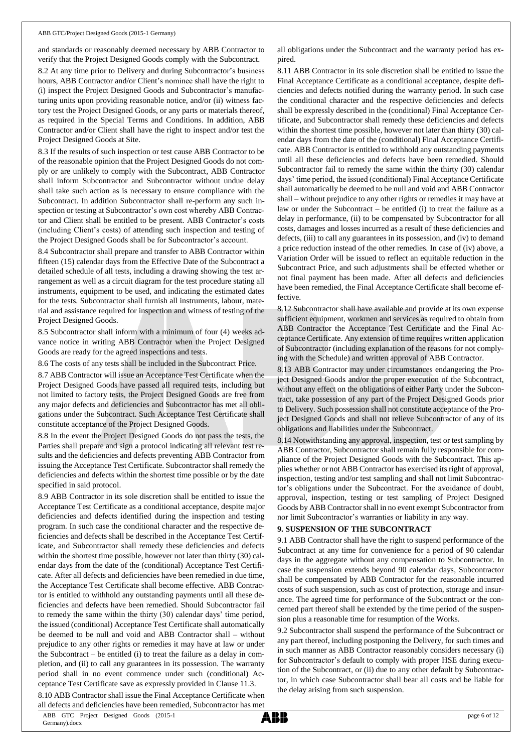and standards or reasonably deemed necessary by ABB Contractor to verify that the Project Designed Goods comply with the Subcontract.

8.2 At any time prior to Delivery and during Subcontractor's business hours, ABB Contractor and/or Client's nominee shall have the right to (i) inspect the Project Designed Goods and Subcontractor's manufacturing units upon providing reasonable notice, and/or (ii) witness factory test the Project Designed Goods, or any parts or materials thereof, as required in the Special Terms and Conditions. In addition, ABB Contractor and/or Client shall have the right to inspect and/or test the Project Designed Goods at Site.

8.3 If the results of such inspection or test cause ABB Contractor to be of the reasonable opinion that the Project Designed Goods do not comply or are unlikely to comply with the Subcontract, ABB Contractor shall inform Subcontractor and Subcontractor without undue delay shall take such action as is necessary to ensure compliance with the Subcontract. In addition Subcontractor shall re-perform any such inspection or testing at Subcontractor's own cost whereby ABB Contractor and Client shall be entitled to be present. ABB Contractor's costs (including Client's costs) of attending such inspection and testing of the Project Designed Goods shall be for Subcontractor's account.

8.4 Subcontractor shall prepare and transfer to ABB Contractor within fifteen (15) calendar days from the Effective Date of the Subcontract a detailed schedule of all tests, including a drawing showing the test arrangement as well as a circuit diagram for the test procedure stating all instruments, equipment to be used, and indicating the estimated dates for the tests. Subcontractor shall furnish all instruments, labour, material and assistance required for inspection and witness of testing of the Project Designed Goods.

8.5 Subcontractor shall inform with a minimum of four (4) weeks advance notice in writing ABB Contractor when the Project Designed Goods are ready for the agreed inspections and tests.

8.6 The costs of any tests shall be included in the Subcontract Price.

8.7 ABB Contractor will issue an Acceptance Test Certificate when the Project Designed Goods have passed all required tests, including but not limited to factory tests, the Project Designed Goods are free from any major defects and deficiencies and Subcontractor has met all obligations under the Subcontract. Such Acceptance Test Certificate shall constitute acceptance of the Project Designed Goods.

8.8 In the event the Project Designed Goods do not pass the tests, the Parties shall prepare and sign a protocol indicating all relevant test results and the deficiencies and defects preventing ABB Contractor from issuing the Acceptance Test Certificate. Subcontractor shall remedy the deficiencies and defects within the shortest time possible or by the date specified in said protocol.

8.9 ABB Contractor in its sole discretion shall be entitled to issue the Acceptance Test Certificate as a conditional acceptance, despite major deficiencies and defects identified during the inspection and testing program. In such case the conditional character and the respective deficiencies and defects shall be described in the Acceptance Test Certificate, and Subcontractor shall remedy these deficiencies and defects within the shortest time possible, however not later than thirty (30) calendar days from the date of the (conditional) Acceptance Test Certificate. After all defects and deficiencies have been remedied in due time, the Acceptance Test Certificate shall become effective. ABB Contractor is entitled to withhold any outstanding payments until all these deficiencies and defects have been remedied. Should Subcontractor fail to remedy the same within the thirty (30) calendar days' time period, the issued (conditional) Acceptance Test Certificate shall automatically be deemed to be null and void and ABB Contractor shall – without prejudice to any other rights or remedies it may have at law or under the Subcontract – be entitled (i) to treat the failure as a delay in completion, and (ii) to call any guarantees in its possession. The warranty period shall in no event commence under such (conditional) Acceptance Test Certificate save as expressly provided in Clause 11.3.

8.10 ABB Contractor shall issue the Final Acceptance Certificate when all defects and deficiencies have been remedied, Subcontractor has met

all obligations under the Subcontract and the warranty period has expired.

8.11 ABB Contractor in its sole discretion shall be entitled to issue the Final Acceptance Certificate as a conditional acceptance, despite deficiencies and defects notified during the warranty period. In such case the conditional character and the respective deficiencies and defects shall be expressly described in the (conditional) Final Acceptance Certificate, and Subcontractor shall remedy these deficiencies and defects within the shortest time possible, however not later than thirty (30) calendar days from the date of the (conditional) Final Acceptance Certificate. ABB Contractor is entitled to withhold any outstanding payments until all these deficiencies and defects have been remedied. Should Subcontractor fail to remedy the same within the thirty (30) calendar days' time period, the issued (conditional) Final Acceptance Certificate shall automatically be deemed to be null and void and ABB Contractor shall – without prejudice to any other rights or remedies it may have at law or under the Subcontract – be entitled (i) to treat the failure as a delay in performance, (ii) to be compensated by Subcontractor for all costs, damages and losses incurred as a result of these deficiencies and defects, (iii) to call any guarantees in its possession, and (iv) to demand a price reduction instead of the other remedies. In case of (iv) above, a Variation Order will be issued to reflect an equitable reduction in the Subcontract Price, and such adjustments shall be effected whether or not final payment has been made. After all defects and deficiencies have been remedied, the Final Acceptance Certificate shall become effective.

8.12 Subcontractor shall have available and provide at its own expense sufficient equipment, workmen and services as required to obtain from ABB Contractor the Acceptance Test Certificate and the Final Acceptance Certificate. Any extension of time requires written application of Subcontractor (including explanation of the reasons for not complying with the Schedule) and written approval of ABB Contractor.

8.13 ABB Contractor may under circumstances endangering the Project Designed Goods and/or the proper execution of the Subcontract, without any effect on the obligations of either Party under the Subcontract, take possession of any part of the Project Designed Goods prior to Delivery. Such possession shall not constitute acceptance of the Project Designed Goods and shall not relieve Subcontractor of any of its obligations and liabilities under the Subcontract.

8.14 Notwithstanding any approval, inspection, test or test sampling by ABB Contractor, Subcontractor shall remain fully responsible for compliance of the Project Designed Goods with the Subcontract. This applies whether or not ABB Contractor has exercised its right of approval, inspection, testing and/or test sampling and shall not limit Subcontractor's obligations under the Subcontract. For the avoidance of doubt, approval, inspection, testing or test sampling of Project Designed Goods by ABB Contractor shall in no event exempt Subcontractor from nor limit Subcontractor's warranties or liability in any way.

#### **9. SUSPENSION OF THE SUBCONTRACT**

9.1 ABB Contractor shall have the right to suspend performance of the Subcontract at any time for convenience for a period of 90 calendar days in the aggregate without any compensation to Subcontractor. In case the suspension extends beyond 90 calendar days, Subcontractor shall be compensated by ABB Contractor for the reasonable incurred costs of such suspension, such as cost of protection, storage and insurance. The agreed time for performance of the Subcontract or the concerned part thereof shall be extended by the time period of the suspension plus a reasonable time for resumption of the Works.

9.2 Subcontractor shall suspend the performance of the Subcontract or any part thereof, including postponing the Delivery, for such times and in such manner as ABB Contractor reasonably considers necessary (i) for Subcontractor's default to comply with proper HSE during execution of the Subcontract, or (ii) due to any other default by Subcontractor, in which case Subcontractor shall bear all costs and be liable for the delay arising from such suspension.

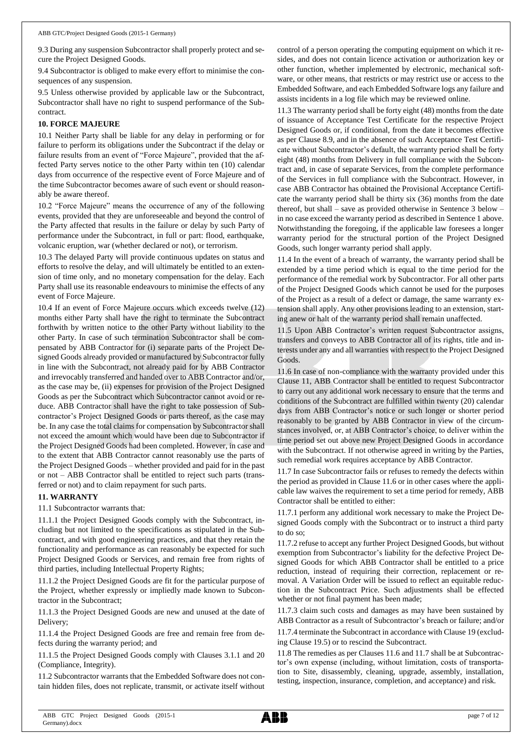9.3 During any suspension Subcontractor shall properly protect and secure the Project Designed Goods.

9.4 Subcontractor is obliged to make every effort to minimise the consequences of any suspension.

9.5 Unless otherwise provided by applicable law or the Subcontract, Subcontractor shall have no right to suspend performance of the Subcontract.

#### **10. FORCE MAJEURE**

10.1 Neither Party shall be liable for any delay in performing or for failure to perform its obligations under the Subcontract if the delay or failure results from an event of "Force Majeure", provided that the affected Party serves notice to the other Party within ten (10) calendar days from occurrence of the respective event of Force Majeure and of the time Subcontractor becomes aware of such event or should reasonably be aware thereof.

10.2 "Force Majeure" means the occurrence of any of the following events, provided that they are unforeseeable and beyond the control of the Party affected that results in the failure or delay by such Party of performance under the Subcontract, in full or part: flood, earthquake, volcanic eruption, war (whether declared or not), or terrorism.

10.3 The delayed Party will provide continuous updates on status and efforts to resolve the delay, and will ultimately be entitled to an extension of time only, and no monetary compensation for the delay. Each Party shall use its reasonable endeavours to minimise the effects of any event of Force Majeure.

10.4 If an event of Force Majeure occurs which exceeds twelve (12) months either Party shall have the right to terminate the Subcontract forthwith by written notice to the other Party without liability to the other Party. In case of such termination Subcontractor shall be compensated by ABB Contractor for (i) separate parts of the Project Designed Goods already provided or manufactured by Subcontractor fully in line with the Subcontract, not already paid for by ABB Contractor and irrevocably transferred and handed over to ABB Contractor and/or, as the case may be, (ii) expenses for provision of the Project Designed Goods as per the Subcontract which Subcontractor cannot avoid or reduce. ABB Contractor shall have the right to take possession of Subcontractor's Project Designed Goods or parts thereof, as the case may be. In any case the total claims for compensation by Subcontractor shall not exceed the amount which would have been due to Subcontractor if the Project Designed Goods had been completed. However, in case and to the extent that ABB Contractor cannot reasonably use the parts of the Project Designed Goods – whether provided and paid for in the past or not – ABB Contractor shall be entitled to reject such parts (transferred or not) and to claim repayment for such parts.

#### **11. WARRANTY**

11.1 Subcontractor warrants that:

11.1.1 the Project Designed Goods comply with the Subcontract, including but not limited to the specifications as stipulated in the Subcontract, and with good engineering practices, and that they retain the functionality and performance as can reasonably be expected for such Project Designed Goods or Services, and remain free from rights of third parties, including Intellectual Property Rights;

11.1.2 the Project Designed Goods are fit for the particular purpose of the Project, whether expressly or impliedly made known to Subcontractor in the Subcontract;

11.1.3 the Project Designed Goods are new and unused at the date of Delivery;

11.1.4 the Project Designed Goods are free and remain free from defects during the warranty period; and

11.1.5 the Project Designed Goods comply with Clauses 3.1.1 and 20 (Compliance, Integrity).

11.2 Subcontractor warrants that the Embedded Software does not contain hidden files, does not replicate, transmit, or activate itself without control of a person operating the computing equipment on which it resides, and does not contain licence activation or authorization key or other function, whether implemented by electronic, mechanical software, or other means, that restricts or may restrict use or access to the Embedded Software, and each Embedded Software logs any failure and assists incidents in a log file which may be reviewed online.

11.3 The warranty period shall be forty eight (48) months from the date of issuance of Acceptance Test Certificate for the respective Project Designed Goods or, if conditional, from the date it becomes effective as per Clause 8.9, and in the absence of such Acceptance Test Certificate without Subcontractor's default, the warranty period shall be forty eight (48) months from Delivery in full compliance with the Subcontract and, in case of separate Services, from the complete performance of the Services in full compliance with the Subcontract. However, in case ABB Contractor has obtained the Provisional Acceptance Certificate the warranty period shall be thirty six (36) months from the date thereof, but shall – save as provided otherwise in Sentence 3 below – in no case exceed the warranty period as described in Sentence 1 above. Notwithstanding the foregoing, if the applicable law foresees a longer warranty period for the structural portion of the Project Designed Goods, such longer warranty period shall apply.

11.4 In the event of a breach of warranty, the warranty period shall be extended by a time period which is equal to the time period for the performance of the remedial work by Subcontractor. For all other parts of the Project Designed Goods which cannot be used for the purposes of the Project as a result of a defect or damage, the same warranty extension shall apply. Any other provisions leading to an extension, starting anew or halt of the warranty period shall remain unaffected.

11.5 Upon ABB Contractor's written request Subcontractor assigns, transfers and conveys to ABB Contractor all of its rights, title and interests under any and all warranties with respect to the Project Designed Goods.

11.6 In case of non-compliance with the warranty provided under this Clause 11, ABB Contractor shall be entitled to request Subcontractor to carry out any additional work necessary to ensure that the terms and conditions of the Subcontract are fulfilled within twenty (20) calendar days from ABB Contractor's notice or such longer or shorter period reasonably to be granted by ABB Contractor in view of the circumstances involved, or, at ABB Contractor's choice, to deliver within the time period set out above new Project Designed Goods in accordance with the Subcontract. If not otherwise agreed in writing by the Parties, such remedial work requires acceptance by ABB Contractor.

11.7 In case Subcontractor fails or refuses to remedy the defects within the period as provided in Clause 11.6 or in other cases where the applicable law waives the requirement to set a time period for remedy, ABB Contractor shall be entitled to either:

11.7.1 perform any additional work necessary to make the Project Designed Goods comply with the Subcontract or to instruct a third party to do so;

11.7.2 refuse to accept any further Project Designed Goods, but without exemption from Subcontractor's liability for the defective Project Designed Goods for which ABB Contractor shall be entitled to a price reduction, instead of requiring their correction, replacement or removal. A Variation Order will be issued to reflect an equitable reduction in the Subcontract Price. Such adjustments shall be effected whether or not final payment has been made;

11.7.3 claim such costs and damages as may have been sustained by ABB Contractor as a result of Subcontractor's breach or failure; and/or

11.7.4 terminate the Subcontract in accordance with Clause 19 (excluding Clause 19.5) or to rescind the Subcontract.

11.8 The remedies as per Clauses 11.6 and 11.7 shall be at Subcontractor's own expense (including, without limitation, costs of transportation to Site, disassembly, cleaning, upgrade, assembly, installation, testing, inspection, insurance, completion, and acceptance) and risk.

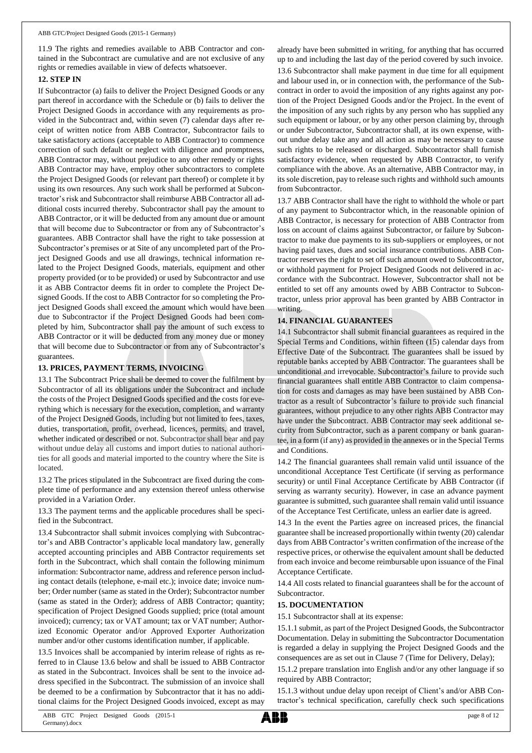11.9 The rights and remedies available to ABB Contractor and contained in the Subcontract are cumulative and are not exclusive of any rights or remedies available in view of defects whatsoever.

#### **12. STEP IN**

If Subcontractor (a) fails to deliver the Project Designed Goods or any part thereof in accordance with the Schedule or (b) fails to deliver the Project Designed Goods in accordance with any requirements as provided in the Subcontract and, within seven (7) calendar days after receipt of written notice from ABB Contractor, Subcontractor fails to take satisfactory actions (acceptable to ABB Contractor) to commence correction of such default or neglect with diligence and promptness, ABB Contractor may, without prejudice to any other remedy or rights ABB Contractor may have, employ other subcontractors to complete the Project Designed Goods (or relevant part thereof) or complete it by using its own resources. Any such work shall be performed at Subcontractor's risk and Subcontractor shall reimburse ABB Contractor all additional costs incurred thereby. Subcontractor shall pay the amount to ABB Contractor, or it will be deducted from any amount due or amount that will become due to Subcontractor or from any of Subcontractor's guarantees. ABB Contractor shall have the right to take possession at Subcontractor's premises or at Site of any uncompleted part of the Project Designed Goods and use all drawings, technical information related to the Project Designed Goods, materials, equipment and other property provided (or to be provided) or used by Subcontractor and use it as ABB Contractor deems fit in order to complete the Project Designed Goods. If the cost to ABB Contractor for so completing the Project Designed Goods shall exceed the amount which would have been due to Subcontractor if the Project Designed Goods had been completed by him, Subcontractor shall pay the amount of such excess to ABB Contractor or it will be deducted from any money due or money that will become due to Subcontractor or from any of Subcontractor's guarantees.

#### **13. PRICES, PAYMENT TERMS, INVOICING**

13.1 The Subcontract Price shall be deemed to cover the fulfilment by Subcontractor of all its obligations under the Subcontract and include the costs of the Project Designed Goods specified and the costs for everything which is necessary for the execution, completion, and warranty of the Project Designed Goods, including but not limited to fees, taxes, duties, transportation, profit, overhead, licences, permits, and travel, whether indicated or described or not. Subcontractor shall bear and pay without undue delay all customs and import duties to national authorities for all goods and material imported to the country where the Site is located.

13.2 The prices stipulated in the Subcontract are fixed during the complete time of performance and any extension thereof unless otherwise provided in a Variation Order.

13.3 The payment terms and the applicable procedures shall be specified in the Subcontract.

13.4 Subcontractor shall submit invoices complying with Subcontractor's and ABB Contractor's applicable local mandatory law, generally accepted accounting principles and ABB Contractor requirements set forth in the Subcontract, which shall contain the following minimum information: Subcontractor name, address and reference person including contact details (telephone, e-mail etc.); invoice date; invoice number; Order number (same as stated in the Order); Subcontractor number (same as stated in the Order); address of ABB Contractor; quantity; specification of Project Designed Goods supplied; price (total amount invoiced); currency; tax or VAT amount; tax or VAT number; Authorized Economic Operator and/or Approved Exporter Authorization number and/or other customs identification number, if applicable.

13.5 Invoices shall be accompanied by interim release of rights as referred to in Clause 13.6 below and shall be issued to ABB Contractor as stated in the Subcontract. Invoices shall be sent to the invoice address specified in the Subcontract. The submission of an invoice shall be deemed to be a confirmation by Subcontractor that it has no additional claims for the Project Designed Goods invoiced, except as may

already have been submitted in writing, for anything that has occurred up to and including the last day of the period covered by such invoice.

13.6 Subcontractor shall make payment in due time for all equipment and labour used in, or in connection with, the performance of the Subcontract in order to avoid the imposition of any rights against any portion of the Project Designed Goods and/or the Project. In the event of the imposition of any such rights by any person who has supplied any such equipment or labour, or by any other person claiming by, through or under Subcontractor, Subcontractor shall, at its own expense, without undue delay take any and all action as may be necessary to cause such rights to be released or discharged. Subcontractor shall furnish satisfactory evidence, when requested by ABB Contractor, to verify compliance with the above. As an alternative, ABB Contractor may, in its sole discretion, pay to release such rights and withhold such amounts from Subcontractor.

13.7 ABB Contractor shall have the right to withhold the whole or part of any payment to Subcontractor which, in the reasonable opinion of ABB Contractor, is necessary for protection of ABB Contractor from loss on account of claims against Subcontractor, or failure by Subcontractor to make due payments to its sub-suppliers or employees, or not having paid taxes, dues and social insurance contributions. ABB Contractor reserves the right to set off such amount owed to Subcontractor, or withhold payment for Project Designed Goods not delivered in accordance with the Subcontract. However, Subcontractor shall not be entitled to set off any amounts owed by ABB Contractor to Subcontractor, unless prior approval has been granted by ABB Contractor in writing.

### **14. FINANCIAL GUARANTEES**

14.1 Subcontractor shall submit financial guarantees as required in the Special Terms and Conditions, within fifteen (15) calendar days from Effective Date of the Subcontract. The guarantees shall be issued by reputable banks accepted by ABB Contractor. The guarantees shall be unconditional and irrevocable. Subcontractor's failure to provide such financial guarantees shall entitle ABB Contractor to claim compensation for costs and damages as may have been sustained by ABB Contractor as a result of Subcontractor's failure to provide such financial guarantees, without prejudice to any other rights ABB Contractor may have under the Subcontract. ABB Contractor may seek additional security from Subcontractor, such as a parent company or bank guarantee, in a form (if any) as provided in the annexes or in the Special Terms and Conditions.

14.2 The financial guarantees shall remain valid until issuance of the unconditional Acceptance Test Certificate (if serving as performance security) or until Final Acceptance Certificate by ABB Contractor (if serving as warranty security). However, in case an advance payment guarantee is submitted, such guarantee shall remain valid until issuance of the Acceptance Test Certificate, unless an earlier date is agreed.

14.3 In the event the Parties agree on increased prices, the financial guarantee shall be increased proportionally within twenty (20) calendar days from ABB Contractor's written confirmation of the increase of the respective prices, or otherwise the equivalent amount shall be deducted from each invoice and become reimbursable upon issuance of the Final Acceptance Certificate.

14.4 All costs related to financial guarantees shall be for the account of Subcontractor.

#### **15. DOCUMENTATION**

15.1 Subcontractor shall at its expense:

15.1.1 submit, as part of the Project Designed Goods, the Subcontractor Documentation. Delay in submitting the Subcontractor Documentation is regarded a delay in supplying the Project Designed Goods and the consequences are as set out in Clause 7 (Time for Delivery, Delay);

15.1.2 prepare translation into English and/or any other language if so required by ABB Contractor;

15.1.3 without undue delay upon receipt of Client's and/or ABB Contractor's technical specification, carefully check such specifications

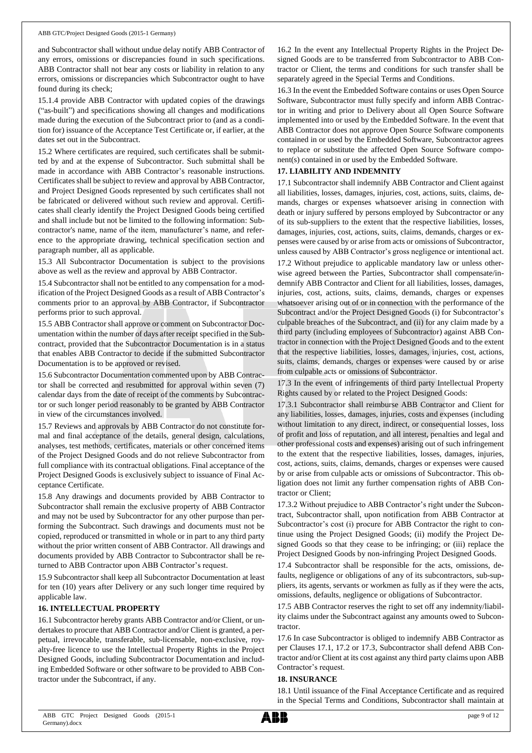and Subcontractor shall without undue delay notify ABB Contractor of any errors, omissions or discrepancies found in such specifications. ABB Contractor shall not bear any costs or liability in relation to any errors, omissions or discrepancies which Subcontractor ought to have found during its check;

15.1.4 provide ABB Contractor with updated copies of the drawings ("as-built") and specifications showing all changes and modifications made during the execution of the Subcontract prior to (and as a condition for) issuance of the Acceptance Test Certificate or, if earlier, at the dates set out in the Subcontract.

15.2 Where certificates are required, such certificates shall be submitted by and at the expense of Subcontractor. Such submittal shall be made in accordance with ABB Contractor's reasonable instructions. Certificates shall be subject to review and approval by ABB Contractor, and Project Designed Goods represented by such certificates shall not be fabricated or delivered without such review and approval. Certificates shall clearly identify the Project Designed Goods being certified and shall include but not be limited to the following information: Subcontractor's name, name of the item, manufacturer's name, and reference to the appropriate drawing, technical specification section and paragraph number, all as applicable.

15.3 All Subcontractor Documentation is subject to the provisions above as well as the review and approval by ABB Contractor.

15.4 Subcontractor shall not be entitled to any compensation for a modification of the Project Designed Goods as a result of ABB Contractor's comments prior to an approval by ABB Contractor, if Subcontractor performs prior to such approval.

15.5 ABB Contractor shall approve or comment on Subcontractor Documentation within the number of days after receipt specified in the Subcontract, provided that the Subcontractor Documentation is in a status that enables ABB Contractor to decide if the submitted Subcontractor Documentation is to be approved or revised.

15.6 Subcontractor Documentation commented upon by ABB Contractor shall be corrected and resubmitted for approval within seven (7) calendar days from the date of receipt of the comments by Subcontractor or such longer period reasonably to be granted by ABB Contractor in view of the circumstances involved.

15.7 Reviews and approvals by ABB Contractor do not constitute formal and final acceptance of the details, general design, calculations, analyses, test methods, certificates, materials or other concerned items of the Project Designed Goods and do not relieve Subcontractor from full compliance with its contractual obligations. Final acceptance of the Project Designed Goods is exclusively subject to issuance of Final Acceptance Certificate.

15.8 Any drawings and documents provided by ABB Contractor to Subcontractor shall remain the exclusive property of ABB Contractor and may not be used by Subcontractor for any other purpose than performing the Subcontract. Such drawings and documents must not be copied, reproduced or transmitted in whole or in part to any third party without the prior written consent of ABB Contractor. All drawings and documents provided by ABB Contractor to Subcontractor shall be returned to ABB Contractor upon ABB Contractor's request.

15.9 Subcontractor shall keep all Subcontractor Documentation at least for ten (10) years after Delivery or any such longer time required by applicable law.

#### **16. INTELLECTUAL PROPERTY**

16.1 Subcontractor hereby grants ABB Contractor and/or Client, or undertakes to procure that ABB Contractor and/or Client is granted, a perpetual, irrevocable, transferable, sub-licensable, non-exclusive, royalty-free licence to use the Intellectual Property Rights in the Project Designed Goods, including Subcontractor Documentation and including Embedded Software or other software to be provided to ABB Contractor under the Subcontract, if any.

16.2 In the event any Intellectual Property Rights in the Project Designed Goods are to be transferred from Subcontractor to ABB Contractor or Client, the terms and conditions for such transfer shall be separately agreed in the Special Terms and Conditions.

16.3 In the event the Embedded Software contains or uses Open Source Software, Subcontractor must fully specify and inform ABB Contractor in writing and prior to Delivery about all Open Source Software implemented into or used by the Embedded Software. In the event that ABB Contractor does not approve Open Source Software components contained in or used by the Embedded Software, Subcontractor agrees to replace or substitute the affected Open Source Software component(s) contained in or used by the Embedded Software.

# **17. LIABILITY AND INDEMNITY**

17.1 Subcontractor shall indemnify ABB Contractor and Client against all liabilities, losses, damages, injuries, cost, actions, suits, claims, demands, charges or expenses whatsoever arising in connection with death or injury suffered by persons employed by Subcontractor or any of its sub-suppliers to the extent that the respective liabilities, losses, damages, injuries, cost, actions, suits, claims, demands, charges or expenses were caused by or arise from acts or omissions of Subcontractor, unless caused by ABB Contractor's gross negligence or intentional act.

17.2 Without prejudice to applicable mandatory law or unless otherwise agreed between the Parties, Subcontractor shall compensate/indemnify ABB Contractor and Client for all liabilities, losses, damages, injuries, cost, actions, suits, claims, demands, charges or expenses whatsoever arising out of or in connection with the performance of the Subcontract and/or the Project Designed Goods (i) for Subcontractor's culpable breaches of the Subcontract, and (ii) for any claim made by a third party (including employees of Subcontractor) against ABB Contractor in connection with the Project Designed Goods and to the extent that the respective liabilities, losses, damages, injuries, cost, actions, suits, claims, demands, charges or expenses were caused by or arise from culpable acts or omissions of Subcontractor.

17.3 In the event of infringements of third party Intellectual Property Rights caused by or related to the Project Designed Goods:

17.3.1 Subcontractor shall reimburse ABB Contractor and Client for any liabilities, losses, damages, injuries, costs and expenses (including without limitation to any direct, indirect, or consequential losses, loss of profit and loss of reputation, and all interest, penalties and legal and other professional costs and expenses) arising out of such infringement to the extent that the respective liabilities, losses, damages, injuries, cost, actions, suits, claims, demands, charges or expenses were caused by or arise from culpable acts or omissions of Subcontractor. This obligation does not limit any further compensation rights of ABB Contractor or Client;

17.3.2 Without prejudice to ABB Contractor's right under the Subcontract, Subcontractor shall, upon notification from ABB Contractor at Subcontractor's cost (i) procure for ABB Contractor the right to continue using the Project Designed Goods; (ii) modify the Project Designed Goods so that they cease to be infringing; or (iii) replace the Project Designed Goods by non-infringing Project Designed Goods.

17.4 Subcontractor shall be responsible for the acts, omissions, defaults, negligence or obligations of any of its subcontractors, sub-suppliers, its agents, servants or workmen as fully as if they were the acts, omissions, defaults, negligence or obligations of Subcontractor.

17.5 ABB Contractor reserves the right to set off any indemnity/liability claims under the Subcontract against any amounts owed to Subcontractor.

17.6 In case Subcontractor is obliged to indemnify ABB Contractor as per Clauses 17.1, 17.2 or 17.3, Subcontractor shall defend ABB Contractor and/or Client at its cost against any third party claims upon ABB Contractor's request.

#### **18. INSURANCE**

18.1 Until issuance of the Final Acceptance Certificate and as required in the Special Terms and Conditions, Subcontractor shall maintain at

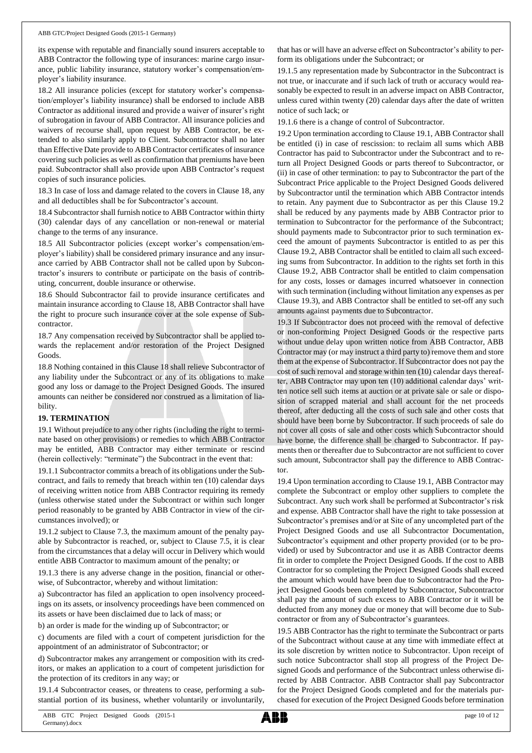its expense with reputable and financially sound insurers acceptable to ABB Contractor the following type of insurances: marine cargo insurance, public liability insurance, statutory worker's compensation/employer's liability insurance.

18.2 All insurance policies (except for statutory worker's compensation/employer's liability insurance) shall be endorsed to include ABB Contractor as additional insured and provide a waiver of insurer's right of subrogation in favour of ABB Contractor. All insurance policies and waivers of recourse shall, upon request by ABB Contractor, be extended to also similarly apply to Client. Subcontractor shall no later than Effective Date provide to ABB Contractor certificates of insurance covering such policies as well as confirmation that premiums have been paid. Subcontractor shall also provide upon ABB Contractor's request copies of such insurance policies.

18.3 In case of loss and damage related to the covers in Clause 18, any and all deductibles shall be for Subcontractor's account.

18.4 Subcontractor shall furnish notice to ABB Contractor within thirty (30) calendar days of any cancellation or non-renewal or material change to the terms of any insurance.

18.5 All Subcontractor policies (except worker's compensation/employer's liability) shall be considered primary insurance and any insurance carried by ABB Contractor shall not be called upon by Subcontractor's insurers to contribute or participate on the basis of contributing, concurrent, double insurance or otherwise.

18.6 Should Subcontractor fail to provide insurance certificates and maintain insurance according to Clause 18, ABB Contractor shall have the right to procure such insurance cover at the sole expense of Subcontractor.

18.7 Any compensation received by Subcontractor shall be applied towards the replacement and/or restoration of the Project Designed Goods.

18.8 Nothing contained in this Clause 18 shall relieve Subcontractor of any liability under the Subcontract or any of its obligations to make good any loss or damage to the Project Designed Goods. The insured amounts can neither be considered nor construed as a limitation of liability.

#### **19. TERMINATION**

19.1 Without prejudice to any other rights (including the right to terminate based on other provisions) or remedies to which ABB Contractor may be entitled, ABB Contractor may either terminate or rescind (herein collectively: "terminate") the Subcontract in the event that:

19.1.1 Subcontractor commits a breach of its obligations under the Subcontract, and fails to remedy that breach within ten (10) calendar days of receiving written notice from ABB Contractor requiring its remedy (unless otherwise stated under the Subcontract or within such longer period reasonably to be granted by ABB Contractor in view of the circumstances involved); or

19.1.2 subject to Clause 7.3, the maximum amount of the penalty payable by Subcontractor is reached, or, subject to Clause 7.5, it is clear from the circumstances that a delay will occur in Delivery which would entitle ABB Contractor to maximum amount of the penalty; or

19.1.3 there is any adverse change in the position, financial or otherwise, of Subcontractor, whereby and without limitation:

a) Subcontractor has filed an application to open insolvency proceedings on its assets, or insolvency proceedings have been commenced on its assets or have been disclaimed due to lack of mass; or

b) an order is made for the winding up of Subcontractor; or

c) documents are filed with a court of competent jurisdiction for the appointment of an administrator of Subcontractor; or

d) Subcontractor makes any arrangement or composition with its creditors, or makes an application to a court of competent jurisdiction for the protection of its creditors in any way; or

19.1.4 Subcontractor ceases, or threatens to cease, performing a substantial portion of its business, whether voluntarily or involuntarily,

that has or will have an adverse effect on Subcontractor's ability to perform its obligations under the Subcontract; or

19.1.5 any representation made by Subcontractor in the Subcontract is not true, or inaccurate and if such lack of truth or accuracy would reasonably be expected to result in an adverse impact on ABB Contractor, unless cured within twenty (20) calendar days after the date of written notice of such lack; or

19.1.6 there is a change of control of Subcontractor.

19.2 Upon termination according to Clause 19.1, ABB Contractor shall be entitled (i) in case of rescission: to reclaim all sums which ABB Contractor has paid to Subcontractor under the Subcontract and to return all Project Designed Goods or parts thereof to Subcontractor, or (ii) in case of other termination: to pay to Subcontractor the part of the Subcontract Price applicable to the Project Designed Goods delivered by Subcontractor until the termination which ABB Contractor intends to retain. Any payment due to Subcontractor as per this Clause 19.2 shall be reduced by any payments made by ABB Contractor prior to termination to Subcontractor for the performance of the Subcontract; should payments made to Subcontractor prior to such termination exceed the amount of payments Subcontractor is entitled to as per this Clause 19.2, ABB Contractor shall be entitled to claim all such exceeding sums from Subcontractor. In addition to the rights set forth in this Clause 19.2, ABB Contractor shall be entitled to claim compensation for any costs, losses or damages incurred whatsoever in connection with such termination (including without limitation any expenses as per Clause 19.3), and ABB Contractor shall be entitled to set-off any such amounts against payments due to Subcontractor.

19.3 If Subcontractor does not proceed with the removal of defective or non-conforming Project Designed Goods or the respective parts without undue delay upon written notice from ABB Contractor, ABB Contractor may (or may instruct a third party to) remove them and store them at the expense of Subcontractor. If Subcontractor does not pay the cost of such removal and storage within ten (10) calendar days thereafter, ABB Contractor may upon ten (10) additional calendar days' written notice sell such items at auction or at private sale or sale or disposition of scrapped material and shall account for the net proceeds thereof, after deducting all the costs of such sale and other costs that should have been borne by Subcontractor. If such proceeds of sale do not cover all costs of sale and other costs which Subcontractor should have borne, the difference shall be charged to Subcontractor. If payments then or thereafter due to Subcontractor are not sufficient to cover such amount, Subcontractor shall pay the difference to ABB Contractor.

19.4 Upon termination according to Clause 19.1, ABB Contractor may complete the Subcontract or employ other suppliers to complete the Subcontract. Any such work shall be performed at Subcontractor's risk and expense. ABB Contractor shall have the right to take possession at Subcontractor's premises and/or at Site of any uncompleted part of the Project Designed Goods and use all Subcontractor Documentation, Subcontractor's equipment and other property provided (or to be provided) or used by Subcontractor and use it as ABB Contractor deems fit in order to complete the Project Designed Goods. If the cost to ABB Contractor for so completing the Project Designed Goods shall exceed the amount which would have been due to Subcontractor had the Project Designed Goods been completed by Subcontractor, Subcontractor shall pay the amount of such excess to ABB Contractor or it will be deducted from any money due or money that will become due to Subcontractor or from any of Subcontractor's guarantees.

19.5 ABB Contractor has the right to terminate the Subcontract or parts of the Subcontract without cause at any time with immediate effect at its sole discretion by written notice to Subcontractor. Upon receipt of such notice Subcontractor shall stop all progress of the Project Designed Goods and performance of the Subcontract unless otherwise directed by ABB Contractor. ABB Contractor shall pay Subcontractor for the Project Designed Goods completed and for the materials purchased for execution of the Project Designed Goods before termination

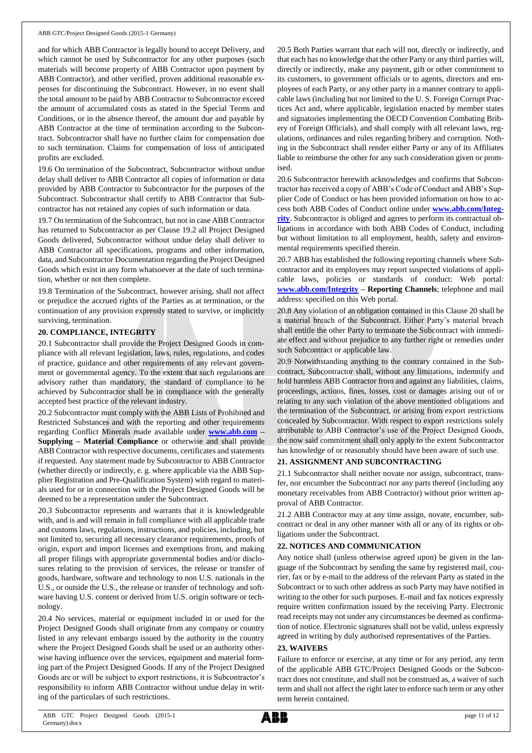and for which ABB Contractor is legally bound to accept Delivery, and which cannot be used by Subcontractor for any other purposes (such materials will become property of ABB Contractor upon payment by ABB Contractor), and other verified, proven additional reasonable expenses for discontinuing the Subcontract. However, in no event shall the total amount to be paid by ABB Contractor to Subcontractor exceed the amount of accumulated costs as stated in the Special Terms and Conditions, or in the absence thereof, the amount due and payable by ABB Contractor at the time of termination according to the Subcontract. Subcontractor shall have no further claim for compensation due to such termination. Claims for compensation of loss of anticipated profits are excluded.

19.6 On termination of the Subcontract, Subcontractor without undue delay shall deliver to ABB Contractor all copies of information or data provided by ABB Contractor to Subcontractor for the purposes of the Subcontract. Subcontractor shall certify to ABB Contractor that Subcontractor has not retained any copies of such information or data.

19.7 On termination of the Subcontract, but not in case ABB Contractor has returned to Subcontractor as per Clause 19.2 all Project Designed Goods delivered, Subcontractor without undue delay shall deliver to ABB Contractor all specifications, programs and other information, data, and Subcontractor Documentation regarding the Project Designed Goods which exist in any form whatsoever at the date of such termination, whether or not then complete.

19.8 Termination of the Subcontract, however arising, shall not affect or prejudice the accrued rights of the Parties as at termination, or the continuation of any provision expressly stated to survive, or implicitly surviving, termination.

# **20. COMPLIANCE, INTEGRITY**

20.1 Subcontractor shall provide the Project Designed Goods in compliance with all relevant legislation, laws, rules, regulations, and codes of practice, guidance and other requirements of any relevant government or governmental agency. To the extent that such regulations are advisory rather than mandatory, the standard of compliance to be achieved by Subcontractor shall be in compliance with the generally accepted best practice of the relevant industry.

20.2 Subcontractor must comply with the ABB Lists of Prohibited and Restricted Substances and with the reporting and other requirements regarding Conflict Minerals made available under **[www.abb.com](http://www.abb.com/) – Supplying – Material Compliance** or otherwise and shall provide ABB Contractor with respective documents, certificates and statements if requested. Any statement made by Subcontractor to ABB Contractor (whether directly or indirectly, e. g. where applicable via the ABB Supplier Registration and Pre-Qualification System) with regard to materials used for or in connection with the Project Designed Goods will be deemed to be a representation under the Subcontract.

20.3 Subcontractor represents and warrants that it is knowledgeable with, and is and will remain in full compliance with all applicable trade and customs laws, regulations, instructions, and policies, including, but not limited to, securing all necessary clearance requirements, proofs of origin, export and import licenses and exemptions from, and making all proper filings with appropriate governmental bodies and/or disclosures relating to the provision of services, the release or transfer of goods, hardware, software and technology to non U.S. nationals in the U.S., or outside the U.S., the release or transfer of technology and software having U.S. content or derived from U.S. origin software or technology.

20.4 No services, material or equipment included in or used for the Project Designed Goods shall originate from any company or country listed in any relevant embargo issued by the authority in the country where the Project Designed Goods shall be used or an authority otherwise having influence over the services, equipment and material forming part of the Project Designed Goods. If any of the Project Designed Goods are or will be subject to export restrictions, it is Subcontractor's responsibility to inform ABB Contractor without undue delay in writing of the particulars of such restrictions.

20.5 Both Parties warrant that each will not, directly or indirectly, and that each has no knowledge that the other Party or any third parties will, directly or indirectly, make any payment, gift or other commitment to its customers, to government officials or to agents, directors and employees of each Party, or any other party in a manner contrary to applicable laws (including but not limited to the U. S. Foreign Corrupt Practices Act and, where applicable, legislation enacted by member states and signatories implementing the OECD Convention Combating Bribery of Foreign Officials), and shall comply with all relevant laws, regulations, ordinances and rules regarding bribery and corruption. Nothing in the Subcontract shall render either Party or any of its Affiliates liable to reimburse the other for any such consideration given or promised.

20.6 Subcontractor herewith acknowledges and confirms that Subcontractor has received a copy of ABB's Code of Conduct and ABB's Supplier Code of Conduct or has been provided information on how to access both ABB Codes of Conduct online under **[www.abb.com/Integ](http://www.abb.com/Integrity)[rity](http://www.abb.com/Integrity)**. Subcontractor is obliged and agrees to perform its contractual obligations in accordance with both ABB Codes of Conduct, including but without limitation to all employment, health, safety and environmental requirements specified therein.

20.7 ABB has established the following reporting channels where Subcontractor and its employees may report suspected violations of applicable laws, policies or standards of conduct: Web portal: **[www.abb.com/Integrity](http://www.abb.com/Integrity) – Reporting Channels**; telephone and mail address: specified on this Web portal.

20.8 Any violation of an obligation contained in this Clause 20 shall be a material breach of the Subcontract. Either Party's material breach shall entitle the other Party to terminate the Subcontract with immediate effect and without prejudice to any further right or remedies under such Subcontract or applicable law.

20.9 Notwithstanding anything to the contrary contained in the Subcontract, Subcontractor shall, without any limitations, indemnify and hold harmless ABB Contractor from and against any liabilities, claims, proceedings, actions, fines, losses, cost or damages arising out of or relating to any such violation of the above mentioned obligations and the termination of the Subcontract, or arising from export restrictions concealed by Subcontractor. With respect to export restrictions solely attributable to ABB Contractor's use of the Project Designed Goods, the now said commitment shall only apply to the extent Subcontractor has knowledge of or reasonably should have been aware of such use.

#### **21. ASSIGNMENT AND SUBCONTRACTING**

21.1 Subcontractor shall neither novate nor assign, subcontract, transfer, nor encumber the Subcontract nor any parts thereof (including any monetary receivables from ABB Contractor) without prior written approval of ABB Contractor.

21.2 ABB Contractor may at any time assign, novate, encumber, subcontract or deal in any other manner with all or any of its rights or obligations under the Subcontract.

#### **22. NOTICES AND COMMUNICATION**

Any notice shall (unless otherwise agreed upon) be given in the language of the Subcontract by sending the same by registered mail, courier, fax or by e-mail to the address of the relevant Party as stated in the Subcontract or to such other address as such Party may have notified in writing to the other for such purposes. E-mail and fax notices expressly require written confirmation issued by the receiving Party. Electronic read receipts may not under any circumstances be deemed as confirmation of notice. Electronic signatures shall not be valid, unless expressly agreed in writing by duly authorised representatives of the Parties.

#### **23. WAIVERS**

Failure to enforce or exercise, at any time or for any period, any term of the applicable ABB GTC/Project Designed Goods or the Subcontract does not constitute, and shall not be construed as, a waiver of such term and shall not affect the right later to enforce such term or any other term herein contained.